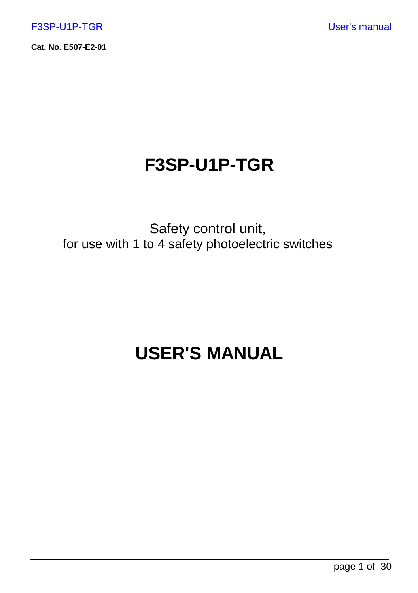**Cat. No. E507-E2-01** 

### **F3SP-U1P-TGR**

Safety control unit, for use with 1 to 4 safety photoelectric switches

## **USER'S MANUAL**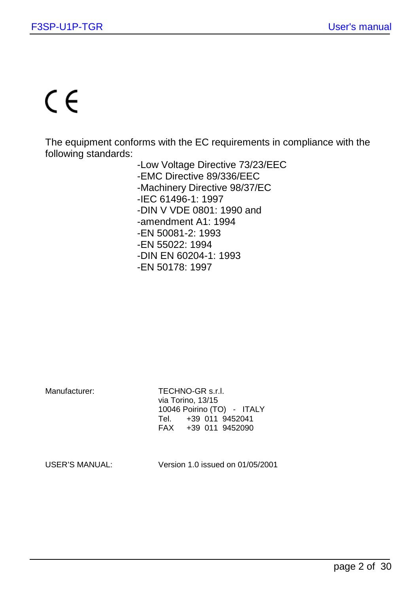# $\epsilon$

The equipment conforms with the EC requirements in compliance with the following standards:

- -Low Voltage Directive 73/23/EEC
- -EMC Directive 89/336/EEC
- -Machinery Directive 98/37/EC
- -IEC 61496-1: 1997
- -DIN V VDE 0801: 1990 and
- -amendment A1: 1994
- -EN 50081-2: 1993
- -EN 55022: 1994
- -DIN EN 60204-1: 1993
- -EN 50178: 1997

Manufacturer: TECHNO-GR s.r.l. via Torino, 13/15 10046 Poirino (TO) - ITALY<br>Tel. +39 011 9452041 Tel. +39 011 9452041 FAX +39 011 9452090

USER'S MANUAL: Version 1.0 issued on 01/05/2001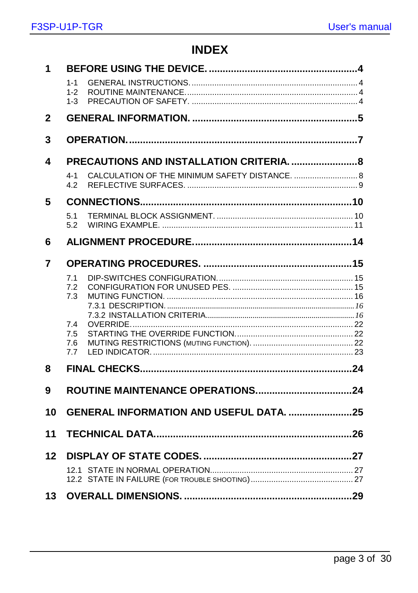### **INDEX**

| 1  |                                         |  |
|----|-----------------------------------------|--|
|    | $1 - 1$                                 |  |
|    | $1 - 2$<br>$1 - 3$                      |  |
|    |                                         |  |
| 2  |                                         |  |
| 3  |                                         |  |
| 4  |                                         |  |
|    | $4 - 1$<br>4.2                          |  |
| 5  |                                         |  |
|    | 5.1<br>5.2                              |  |
| 6  |                                         |  |
| 7  |                                         |  |
|    | 7.1                                     |  |
|    | 7.2<br>7.3                              |  |
|    |                                         |  |
|    | 7.4                                     |  |
|    | 7.5                                     |  |
|    | 7.6<br>7.7                              |  |
| 8  |                                         |  |
| 9  |                                         |  |
|    |                                         |  |
| 10 | GENERAL INFORMATION AND USEFUL DATA. 25 |  |
| 11 |                                         |  |
| 12 |                                         |  |
|    |                                         |  |
| 13 |                                         |  |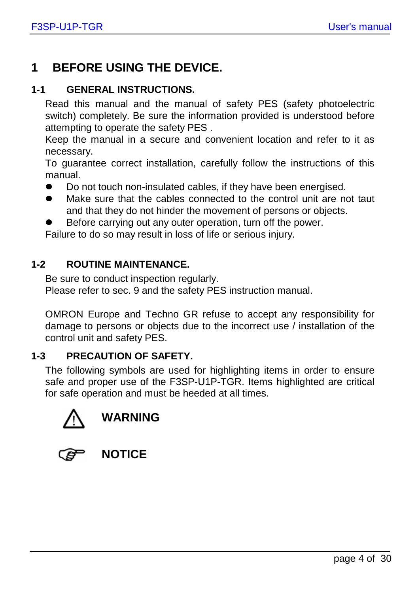### **1 BEFORE USING THE DEVICE.**

#### **1-1 GENERAL INSTRUCTIONS.**

Read this manual and the manual of safety PES (safety photoelectric switch) completely. Be sure the information provided is understood before attempting to operate the safety PES .

Keep the manual in a secure and convenient location and refer to it as necessary.

To guarantee correct installation, carefully follow the instructions of this manual.

- $\bullet$ Do not touch non-insulated cables, if they have been energised.
- $\bullet$  Make sure that the cables connected to the control unit are not taut and that they do not hinder the movement of persons or objects.
- $\bullet$ Before carrying out any outer operation, turn off the power.

Failure to do so may result in loss of life or serious injury.

#### **1-2 ROUTINE MAINTENANCE.**

Be sure to conduct inspection regularly.

Please refer to sec. 9 and the safety PES instruction manual.

OMRON Europe and Techno GR refuse to accept any responsibility for damage to persons or objects due to the incorrect use / installation of the control unit and safety PES.

#### **1-3 PRECAUTION OF SAFETY.**

The following symbols are used for highlighting items in order to ensure safe and proper use of the F3SP-U1P-TGR. Items highlighted are critical for safe operation and must be heeded at all times.



| × |  |
|---|--|

**NOTICE**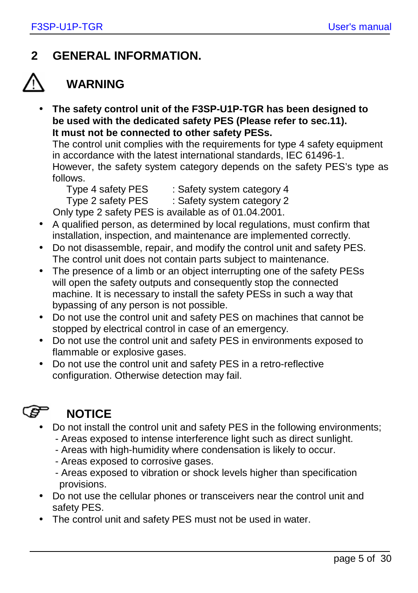### **2 GENERAL INFORMATION.**

### **WARNING**

• **The safety control unit of the F3SP-U1P-TGR has been designed to be used with the dedicated safety PES (Please refer to sec.11). It must not be connected to other safety PESs.**

The control unit complies with the requirements for type 4 safety equipment in accordance with the latest international standards, IEC 61496-1. However, the safety system category depends on the safety PES's type as follows.

Type 4 safety PES : Safety system category 4

Type 2 safety PES : Safety system category 2

Only type 2 safety PES is available as of 01.04.2001.

- A qualified person, as determined by local regulations, must confirm that installation, inspection, and maintenance are implemented correctly.
- Do not disassemble, repair, and modify the control unit and safety PES. The control unit does not contain parts subject to maintenance.
- The presence of a limb or an object interrupting one of the safety PESs will open the safety outputs and consequently stop the connected machine. It is necessary to install the safety PESs in such a way that bypassing of any person is not possible.
- Do not use the control unit and safety PES on machines that cannot be stopped by electrical control in case of an emergency.
- Do not use the control unit and safety PES in environments exposed to flammable or explosive gases.
- Do not use the control unit and safety PES in a retro-reflective configuration. Otherwise detection may fail.

### ເອ

### **NOTICE**

- Do not install the control unit and safety PES in the following environments;
	- Areas exposed to intense interference light such as direct sunlight.
	- Areas with high-humidity where condensation is likely to occur.
	- Areas exposed to corrosive gases.
	- Areas exposed to vibration or shock levels higher than specification provisions.
- Do not use the cellular phones or transceivers near the control unit and safety PES.
- The control unit and safety PES must not be used in water.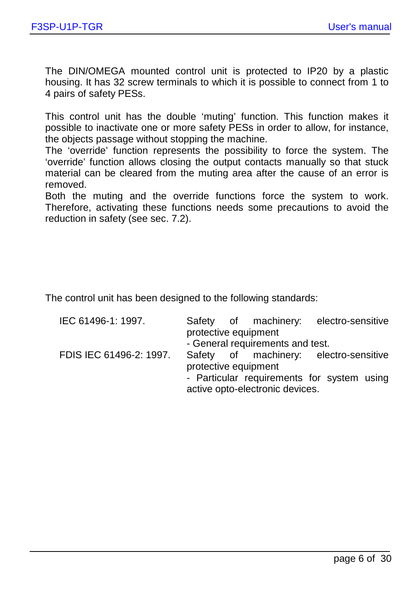The DIN/OMEGA mounted control unit is protected to IP20 by a plastic housing. It has 32 screw terminals to which it is possible to connect from 1 to 4 pairs of safety PESs.

This control unit has the double 'muting' function. This function makes it possible to inactivate one or more safety PESs in order to allow, for instance, the objects passage without stopping the machine.

The 'override' function represents the possibility to force the system. The 'override' function allows closing the output contacts manually so that stuck material can be cleared from the muting area after the cause of an error is removed.

Both the muting and the override functions force the system to work. Therefore, activating these functions needs some precautions to avoid the reduction in safety (see sec. 7.2).

The control unit has been designed to the following standards:

| IEC 61496-1: 1997.      |                      | Safety of machinery:             | electro-sensitive                          |
|-------------------------|----------------------|----------------------------------|--------------------------------------------|
|                         | protective equipment |                                  |                                            |
|                         |                      | - General requirements and test. |                                            |
| FDIS IEC 61496-2: 1997. |                      |                                  | Safety of machinery: electro-sensitive     |
|                         | protective equipment |                                  |                                            |
|                         |                      |                                  | - Particular requirements for system using |
|                         |                      | active opto-electronic devices.  |                                            |
|                         |                      |                                  |                                            |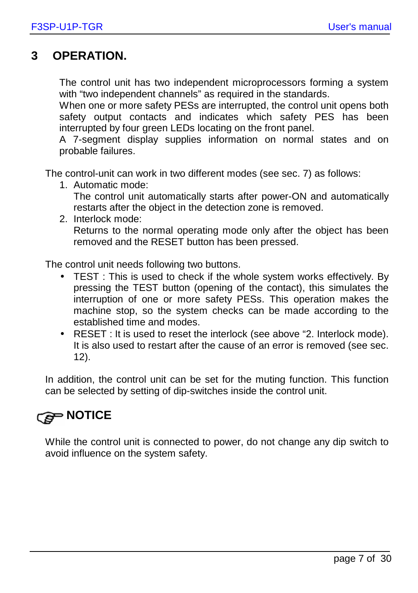### **3 OPERATION.**

The control unit has two independent microprocessors forming a system with "two independent channels" as required in the standards.

When one or more safety PESs are interrupted, the control unit opens both safety output contacts and indicates which safety PES has been interrupted by four green LEDs locating on the front panel.

A 7-segment display supplies information on normal states and on probable failures.

The control-unit can work in two different modes (see sec. 7) as follows:

- 1. Automatic mode: The control unit automatically starts after power-ON and automatically restarts after the object in the detection zone is removed.
- 2. Interlock mode: Returns to the normal operating mode only after the object has been removed and the RESET button has been pressed.

The control unit needs following two buttons.

- TEST : This is used to check if the whole system works effectively. By pressing the TEST button (opening of the contact), this simulates the interruption of one or more safety PESs. This operation makes the machine stop, so the system checks can be made according to the established time and modes.
- RESET : It is used to reset the interlock (see above "2. Interlock mode). It is also used to restart after the cause of an error is removed (see sec. 12).

In addition, the control unit can be set for the muting function. This function can be selected by setting of dip-switches inside the control unit.

### *C* NOTICE

While the control unit is connected to power, do not change any dip switch to avoid influence on the system safety.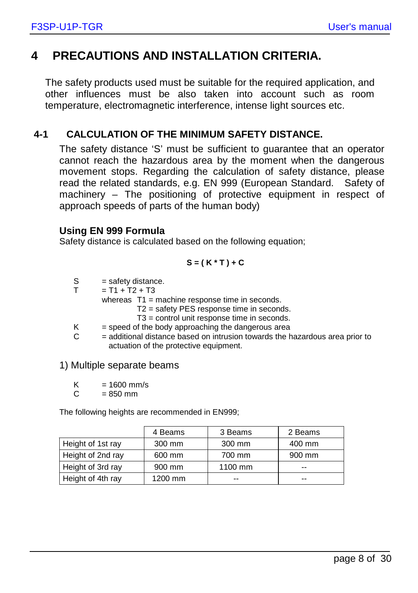### **4 PRECAUTIONS AND INSTALLATION CRITERIA.**

The safety products used must be suitable for the required application, and other influences must be also taken into account such as room temperature, electromagnetic interference, intense light sources etc.

#### **4-1 CALCULATION OF THE MINIMUM SAFETY DISTANCE.**

The safety distance 'S' must be sufficient to guarantee that an operator cannot reach the hazardous area by the moment when the dangerous movement stops. Regarding the calculation of safety distance, please read the related standards, e.g. EN 999 (European Standard. Safety of machinery – The positioning of protective equipment in respect of approach speeds of parts of the human body)

#### **Using EN 999 Formula**

Safety distance is calculated based on the following equation:

$$
S = (K^*T) + C
$$

- $S =$ safety distance.<br>  $T = T1 + T2 + T3$
- $= T1 + T2 + T3$

whereas T1 = machine response time in seconds.

- T2 = safety PES response time in seconds.
- T3 = control unit response time in seconds.
- $K =$  speed of the body approaching the dangerous area
- $C =$  additional distance based on intrusion towards the hazardous area prior to actuation of the protective equipment.

#### 1) Multiple separate beams

 $K = 1600$  mm/s

 $C = 850$  mm

The following heights are recommended in EN999;

|                   | 4 Beams | 3 Beams | 2 Beams |
|-------------------|---------|---------|---------|
| Height of 1st ray | 300 mm  | 300 mm  | 400 mm  |
| Height of 2nd ray | 600 mm  | 700 mm  | 900 mm  |
| Height of 3rd ray | 900 mm  | 1100 mm | --      |
| Height of 4th ray | 1200 mm | $- -$   | --      |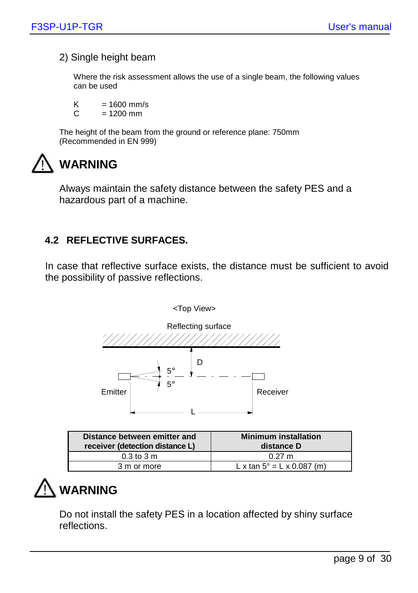#### 2) Single height beam

Where the risk assessment allows the use of a single beam, the following values can be used

K =  $1600 \text{ mm/s}$ <br>C =  $1200 \text{ mm}$  $= 1200$  mm

The height of the beam from the ground or reference plane: 750mm (Recommended in EN 999)

### **WARNING**

Always maintain the safety distance between the safety PES and a hazardous part of a machine.

### **4.2 REFLECTIVE SURFACES.**

In case that reflective surface exists, the distance must be sufficient to avoid the possibility of passive reflections.



| Distance between emitter and<br>receiver (detection distance L) | <b>Minimum installation</b><br>distance D |
|-----------------------------------------------------------------|-------------------------------------------|
| $0.3$ to $3 \text{ m}$                                          | $0.27 \text{ m}$                          |
| 3 m or more                                                     | L x tan $5^{\circ}$ = L x 0.087 (m)       |

### **WARNING**

Do not install the safety PES in a location affected by shiny surface reflections.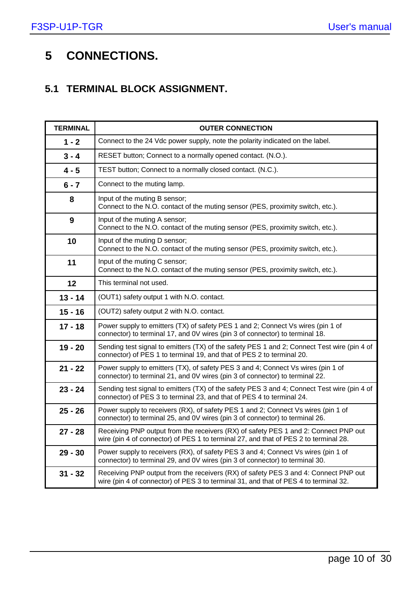### **5 CONNECTIONS.**

### **5.1 TERMINAL BLOCK ASSIGNMENT.**

| <b>TERMINAL</b> | <b>OUTER CONNECTION</b>                                                                                                                                                     |
|-----------------|-----------------------------------------------------------------------------------------------------------------------------------------------------------------------------|
| $1 - 2$         | Connect to the 24 Vdc power supply, note the polarity indicated on the label.                                                                                               |
| $3 - 4$         | RESET button; Connect to a normally opened contact. (N.O.).                                                                                                                 |
| $4 - 5$         | TEST button; Connect to a normally closed contact. (N.C.).                                                                                                                  |
| $6 - 7$         | Connect to the muting lamp.                                                                                                                                                 |
| 8               | Input of the muting B sensor;<br>Connect to the N.O. contact of the muting sensor (PES, proximity switch, etc.).                                                            |
| 9               | Input of the muting A sensor;<br>Connect to the N.O. contact of the muting sensor (PES, proximity switch, etc.).                                                            |
| 10              | Input of the muting D sensor;<br>Connect to the N.O. contact of the muting sensor (PES, proximity switch, etc.).                                                            |
| 11              | Input of the muting C sensor;<br>Connect to the N.O. contact of the muting sensor (PES, proximity switch, etc.).                                                            |
| 12              | This terminal not used.                                                                                                                                                     |
| $13 - 14$       | (OUT1) safety output 1 with N.O. contact.                                                                                                                                   |
| $15 - 16$       | (OUT2) safety output 2 with N.O. contact.                                                                                                                                   |
| $17 - 18$       | Power supply to emitters (TX) of safety PES 1 and 2; Connect Vs wires (pin 1 of<br>connector) to terminal 17, and 0V wires (pin 3 of connector) to terminal 18.             |
| $19 - 20$       | Sending test signal to emitters (TX) of the safety PES 1 and 2; Connect Test wire (pin 4 of<br>connector) of PES 1 to terminal 19, and that of PES 2 to terminal 20.        |
| $21 - 22$       | Power supply to emitters (TX), of safety PES 3 and 4; Connect Vs wires (pin 1 of<br>connector) to terminal 21, and 0V wires (pin 3 of connector) to terminal 22.            |
| $23 - 24$       | Sending test signal to emitters (TX) of the safety PES 3 and 4; Connect Test wire (pin 4 of<br>connector) of PES 3 to terminal 23, and that of PES 4 to terminal 24.        |
| $25 - 26$       | Power supply to receivers (RX), of safety PES 1 and 2; Connect Vs wires (pin 1 of<br>connector) to terminal 25, and 0V wires (pin 3 of connector) to terminal 26.           |
| $27 - 28$       | Receiving PNP output from the receivers (RX) of safety PES 1 and 2: Connect PNP out<br>wire (pin 4 of connector) of PES 1 to terminal 27, and that of PES 2 to terminal 28. |
| $29 - 30$       | Power supply to receivers (RX), of safety PES 3 and 4; Connect Vs wires (pin 1 of<br>connector) to terminal 29, and 0V wires (pin 3 of connector) to terminal 30.           |
| $31 - 32$       | Receiving PNP output from the receivers (RX) of safety PES 3 and 4: Connect PNP out<br>wire (pin 4 of connector) of PES 3 to terminal 31, and that of PES 4 to terminal 32. |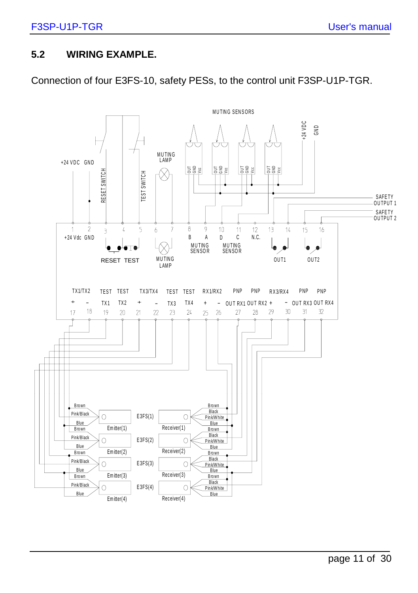#### **5.2 WIRING EXAMPLE.**

Connection of four E3FS-10, safety PESs, to the control unit F3SP-U1P-TGR.

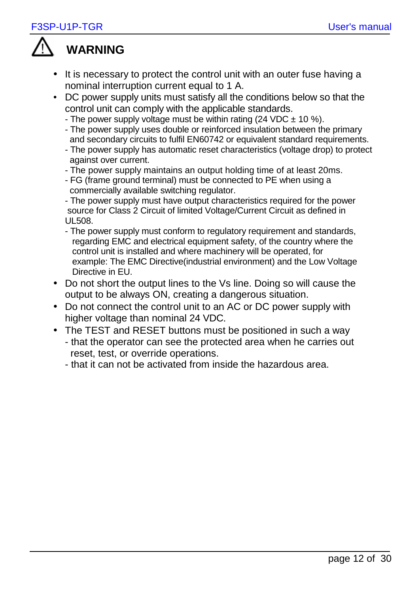

### **WARNING**

- It is necessary to protect the control unit with an outer fuse having a nominal interruption current equal to 1 A.
- DC power supply units must satisfy all the conditions below so that the control unit can comply with the applicable standards.
	- The power supply voltage must be within rating (24 VDC  $\pm$  10 %).
	- The power supply uses double or reinforced insulation between the primary and secondary circuits to fulfil EN60742 or equivalent standard requirements.
	- The power supply has automatic reset characteristics (voltage drop) to protect against over current.
	- The power supply maintains an output holding time of at least 20ms.
	- FG (frame ground terminal) must be connected to PE when using a commercially available switching regulator.

- The power supply must have output characteristics required for the power source for Class 2 Circuit of limited Voltage/Current Circuit as defined in UL508.

- The power supply must conform to regulatory requirement and standards, regarding EMC and electrical equipment safety, of the country where the control unit is installed and where machinery will be operated, for example: The EMC Directive(industrial environment) and the Low Voltage Directive in EU.
- Do not short the output lines to the Vs line. Doing so will cause the output to be always ON, creating a dangerous situation.
- Do not connect the control unit to an AC or DC power supply with higher voltage than nominal 24 VDC.
- The TEST and RESET buttons must be positioned in such a way - that the operator can see the protected area when he carries out reset, test, or override operations.
	- that it can not be activated from inside the hazardous area.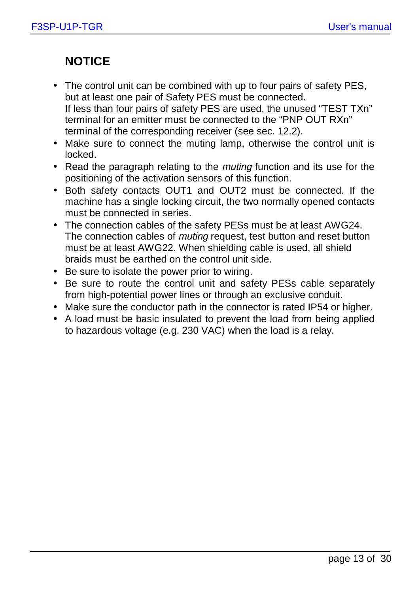### **NOTICE**

- The control unit can be combined with up to four pairs of safety PES, but at least one pair of Safety PES must be connected. If less than four pairs of safety PES are used, the unused "TEST TXn" terminal for an emitter must be connected to the "PNP OUT RXn" terminal of the corresponding receiver (see sec. 12.2).
- Make sure to connect the muting lamp, otherwise the control unit is locked.
- Read the paragraph relating to the muting function and its use for the positioning of the activation sensors of this function.
- Both safety contacts OUT1 and OUT2 must be connected. If the machine has a single locking circuit, the two normally opened contacts must be connected in series.
- The connection cables of the safety PESs must be at least AWG24. The connection cables of *muting* request, test button and reset button must be at least AWG22. When shielding cable is used, all shield braids must be earthed on the control unit side.
- Be sure to isolate the power prior to wiring.
- Be sure to route the control unit and safety PESs cable separately from high-potential power lines or through an exclusive conduit.
- Make sure the conductor path in the connector is rated IP54 or higher.
- A load must be basic insulated to prevent the load from being applied to hazardous voltage (e.g. 230 VAC) when the load is a relay.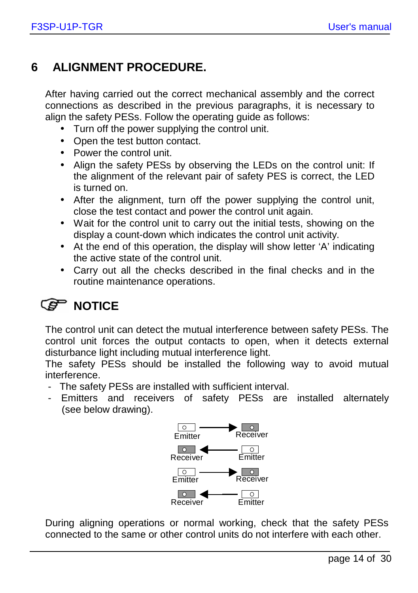### **6 ALIGNMENT PROCEDURE.**

After having carried out the correct mechanical assembly and the correct connections as described in the previous paragraphs, it is necessary to align the safety PESs. Follow the operating guide as follows:

- Turn off the power supplying the control unit.
- Open the test button contact.
- Power the control unit
- Align the safety PESs by observing the LEDs on the control unit: If the alignment of the relevant pair of safety PES is correct, the LED is turned on.
- After the alignment, turn off the power supplying the control unit, close the test contact and power the control unit again.
- Wait for the control unit to carry out the initial tests, showing on the display a count-down which indicates the control unit activity.
- At the end of this operation, the display will show letter 'A' indicating the active state of the control unit.
- Carry out all the checks described in the final checks and in the routine maintenance operations.

### *C***<sub>B</sub> NOTICE**

The control unit can detect the mutual interference between safety PESs. The control unit forces the output contacts to open, when it detects external disturbance light including mutual interference light.

The safety PESs should be installed the following way to avoid mutual interference.

- The safety PESs are installed with sufficient interval.
- Emitters and receivers of safety PESs are installed alternately (see below drawing).



During aligning operations or normal working, check that the safety PESs connected to the same or other control units do not interfere with each other.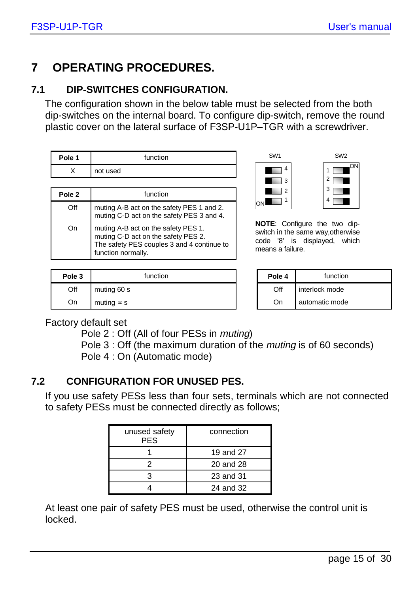ON

SW<sub>2</sub>

### **7 OPERATING PROCEDURES.**

### **7.1 DIP-SWITCHES CONFIGURATION.**

The configuration shown in the below table must be selected from the both dip-switches on the internal board. To configure dip-switch, remove the round plastic cover on the lateral surface of F3SP-U1P–TGR with a screwdriver.

| Pole 1 | function                                                                                                                                       |  |
|--------|------------------------------------------------------------------------------------------------------------------------------------------------|--|
| x      | not used                                                                                                                                       |  |
|        |                                                                                                                                                |  |
| Pole 2 | function                                                                                                                                       |  |
| Off    | muting A-B act on the safety PES 1 and 2.<br>muting C-D act on the safety PES 3 and 4.                                                         |  |
| Ωn     | muting A-B act on the safety PES 1.<br>muting C-D act on the safety PES 2.<br>The safety PES couples 3 and 4 continue to<br>function normally. |  |

| Pole 3 | function          | Pole 4 | function       |
|--------|-------------------|--------|----------------|
| Off    | muting 60 s       | Off    | interlock mode |
| On     | muting $\infty$ s | On     | automatic mode |

| SW <sub>1</sub> |                         |
|-----------------|-------------------------|
| 4               |                         |
| 3               | $\overline{\mathbf{c}}$ |
| $\overline{2}$  | 3                       |
| 1<br>ON         |                         |
|                 |                         |

**NOTE**: Configure the two dipswitch in the same way,otherwise code '8' is displayed, which means a failure.

| Pole 4 | function       |  |
|--------|----------------|--|
| ωH     | interlock mode |  |
| nn     | automatic mode |  |

Factory default set

Pole 2 : Off (All of four PESs in muting)

Pole 3 : Off (the maximum duration of the *muting* is of 60 seconds)

Pole 4 : On (Automatic mode)

### **7.2 CONFIGURATION FOR UNUSED PES.**

If you use safety PESs less than four sets, terminals which are not connected to safety PESs must be connected directly as follows;

| unused safety<br><b>PES</b> | connection |
|-----------------------------|------------|
|                             | 19 and 27  |
|                             | 20 and 28  |
|                             | 23 and 31  |
|                             | 24 and 32  |

At least one pair of safety PES must be used, otherwise the control unit is locked.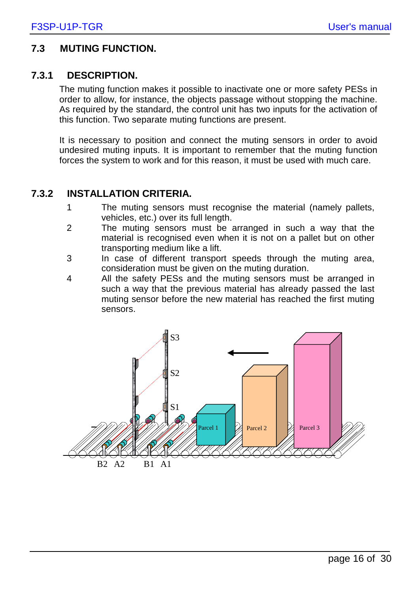#### **7.3 MUTING FUNCTION.**

#### **7.3.1 DESCRIPTION.**

The muting function makes it possible to inactivate one or more safety PESs in order to allow, for instance, the objects passage without stopping the machine. As required by the standard, the control unit has two inputs for the activation of this function. Two separate muting functions are present.

It is necessary to position and connect the muting sensors in order to avoid undesired muting inputs. It is important to remember that the muting function forces the system to work and for this reason, it must be used with much care.

#### **7.3.2 INSTALLATION CRITERIA.**

- 1 The muting sensors must recognise the material (namely pallets, vehicles, etc.) over its full length.
- 2 The muting sensors must be arranged in such a way that the material is recognised even when it is not on a pallet but on other transporting medium like a lift.
- 3 In case of different transport speeds through the muting area, consideration must be given on the muting duration.
- 4 All the safety PESs and the muting sensors must be arranged in such a way that the previous material has already passed the last muting sensor before the new material has reached the first muting sensors.

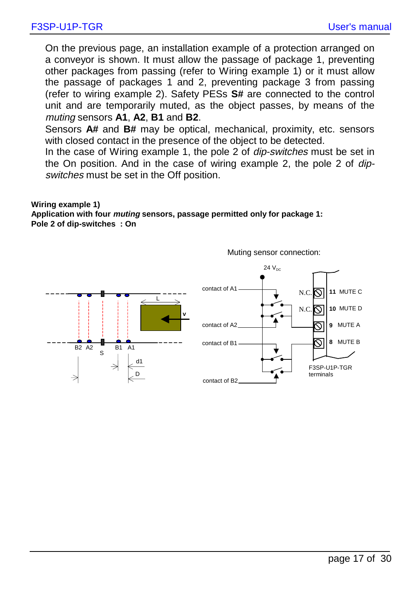On the previous page, an installation example of a protection arranged on a conveyor is shown. It must allow the passage of package 1, preventing other packages from passing (refer to Wiring example 1) or it must allow the passage of packages 1 and 2, preventing package 3 from passing (refer to wiring example 2). Safety PESs **S#** are connected to the control unit and are temporarily muted, as the object passes, by means of the muting sensors **A1**, **A2**, **B1** and **B2**.

Sensors **A#** and **B#** may be optical, mechanical, proximity, etc. sensors with closed contact in the presence of the object to be detected.

In the case of Wiring example 1, the pole 2 of dip-switches must be set in the On position. And in the case of wiring example 2, the pole 2 of dipswitches must be set in the Off position.

**Wiring example 1) Application with four muting sensors, passage permitted only for package 1: Pole 2 of dip-switches : On** 



Muting sensor connection: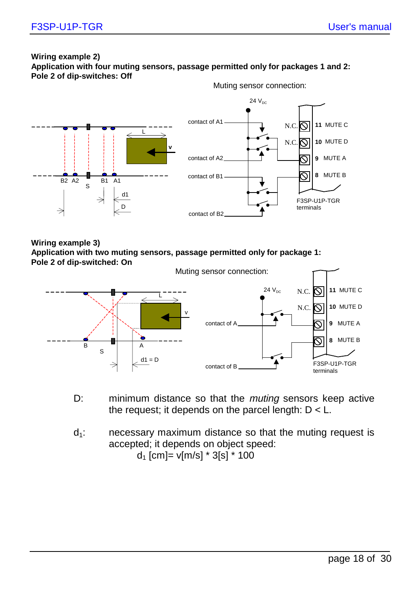#### **Wiring example 2) Application with four muting sensors, passage permitted only for packages 1 and 2: Pole 2 of dip-switches: Off**  Muting sensor connection:



**Wiring example 3) Application with two muting sensors, passage permitted only for package 1:** 



- D: minimum distance so that the *muting* sensors keep active the request; it depends on the parcel length:  $D < L$ .
- $d_1$ : necessary maximum distance so that the muting request is accepted; it depends on object speed:

 $d_1$  [cm]= v[m/s]  $*$  3[s]  $*$  100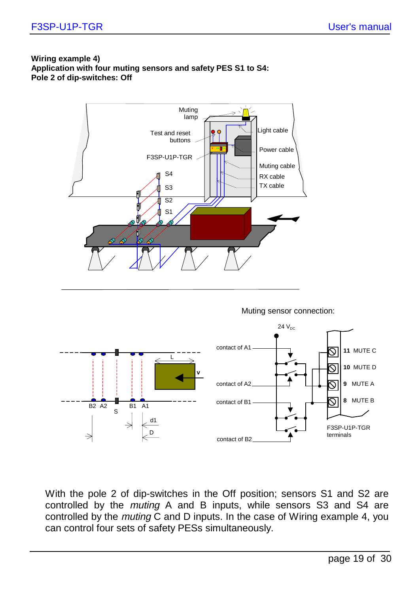#### **Wiring example 4) Application with four muting sensors and safety PES S1 to S4: Pole 2 of dip-switches: Off**

B2 A2  $\overline{S}$  B1 A1

d1

D



With the pole 2 of dip-switches in the Off position; sensors S1 and S2 are controlled by the muting A and B inputs, while sensors S3 and S4 are controlled by the muting C and D inputs. In the case of Wiring example 4, you can control four sets of safety PESs simultaneously.

contact of B2

F3SP-U1P-TGR terminals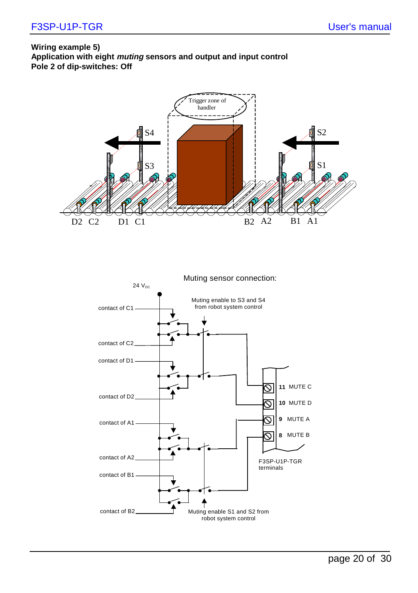#### **Wiring example 5) Application with eight muting sensors and output and input control Pole 2 of dip-switches: Off**



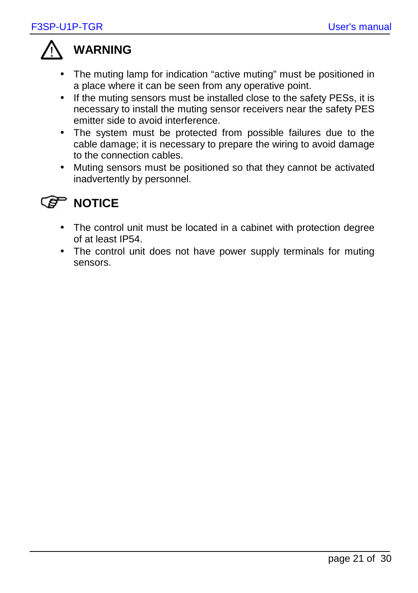

### **WARNING**

- The muting lamp for indication "active muting" must be positioned in a place where it can be seen from any operative point.
- If the muting sensors must be installed close to the safety PESs, it is necessary to install the muting sensor receivers near the safety PES emitter side to avoid interference.
- The system must be protected from possible failures due to the cable damage; it is necessary to prepare the wiring to avoid damage to the connection cables.
- Muting sensors must be positioned so that they cannot be activated inadvertently by personnel.

### *S* **NOTICE**

- The control unit must be located in a cabinet with protection degree of at least IP54.
- The control unit does not have power supply terminals for muting sensors.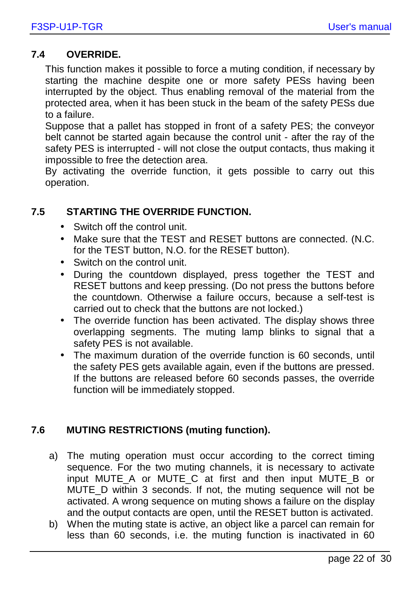#### **7.4 OVERRIDE.**

This function makes it possible to force a muting condition, if necessary by starting the machine despite one or more safety PESs having been interrupted by the object. Thus enabling removal of the material from the protected area, when it has been stuck in the beam of the safety PESs due to a failure.

Suppose that a pallet has stopped in front of a safety PES; the conveyor belt cannot be started again because the control unit - after the ray of the safety PES is interrupted - will not close the output contacts, thus making it impossible to free the detection area.

By activating the override function, it gets possible to carry out this operation.

#### **7.5 STARTING THE OVERRIDE FUNCTION.**

- Switch off the control unit.
- Make sure that the TEST and RESET buttons are connected. (N.C. for the TEST button, N.O. for the RESET button).
- Switch on the control unit.
- During the countdown displayed, press together the TEST and RESET buttons and keep pressing. (Do not press the buttons before the countdown. Otherwise a failure occurs, because a self-test is carried out to check that the buttons are not locked.)
- The override function has been activated. The display shows three overlapping segments. The muting lamp blinks to signal that a safety PES is not available.
- The maximum duration of the override function is 60 seconds, until the safety PES gets available again, even if the buttons are pressed. If the buttons are released before 60 seconds passes, the override function will be immediately stopped.

#### **7.6 MUTING RESTRICTIONS (muting function).**

- a) The muting operation must occur according to the correct timing sequence. For the two muting channels, it is necessary to activate input MUTE\_A or MUTE\_C at first and then input MUTE\_B or MUTE\_D within 3 seconds. If not, the muting sequence will not be activated. A wrong sequence on muting shows a failure on the display and the output contacts are open, until the RESET button is activated.
- b) When the muting state is active, an object like a parcel can remain for less than 60 seconds, i.e. the muting function is inactivated in 60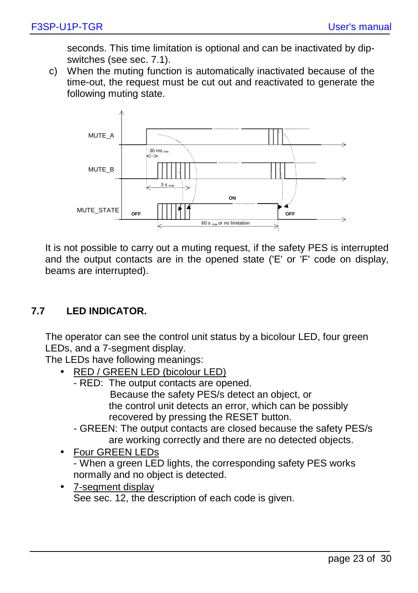seconds. This time limitation is optional and can be inactivated by dipswitches (see sec. 7.1).

c) When the muting function is automatically inactivated because of the time-out, the request must be cut out and reactivated to generate the following muting state.



It is not possible to carry out a muting request, if the safety PES is interrupted and the output contacts are in the opened state ('E' or 'F' code on display, beams are interrupted).

#### **7.7 LED INDICATOR.**

The operator can see the control unit status by a bicolour LED, four green LEDs, and a 7-segment display.

The LEDs have following meanings:

- RED / GREEN LED (bicolour LED)
	- RED: The output contacts are opened. Because the safety PES/s detect an object, or the control unit detects an error, which can be possibly recovered by pressing the RESET button.
	- GREEN: The output contacts are closed because the safety PES/s are working correctly and there are no detected objects.
- Four GREEN LEDs - When a green LED lights, the corresponding safety PES works normally and no object is detected.
- 7-segment display See sec. 12, the description of each code is given.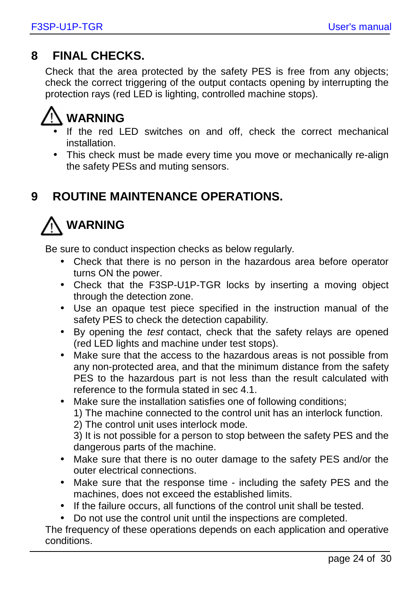### **8 FINAL CHECKS.**

Check that the area protected by the safety PES is free from any objects; check the correct triggering of the output contacts opening by interrupting the protection rays (red LED is lighting, controlled machine stops).



- If the red LED switches on and off, check the correct mechanical installation.
- This check must be made every time you move or mechanically re-align the safety PESs and muting sensors.

### **9 ROUTINE MAINTENANCE OPERATIONS.**



Be sure to conduct inspection checks as below regularly.

- Check that there is no person in the hazardous area before operator turns ON the power.
- Check that the F3SP-U1P-TGR locks by inserting a moving object through the detection zone.
- Use an opaque test piece specified in the instruction manual of the safety PES to check the detection capability.
- By opening the test contact, check that the safety relays are opened (red LED lights and machine under test stops).
- Make sure that the access to the hazardous areas is not possible from any non-protected area, and that the minimum distance from the safety PES to the hazardous part is not less than the result calculated with reference to the formula stated in sec 4.1.
- Make sure the installation satisfies one of following conditions;

1) The machine connected to the control unit has an interlock function.

2) The control unit uses interlock mode.

3) It is not possible for a person to stop between the safety PES and the dangerous parts of the machine.

- Make sure that there is no outer damage to the safety PES and/or the outer electrical connections.
- Make sure that the response time including the safety PES and the machines, does not exceed the established limits.
- If the failure occurs, all functions of the control unit shall be tested.
- Do not use the control unit until the inspections are completed.

The frequency of these operations depends on each application and operative conditions.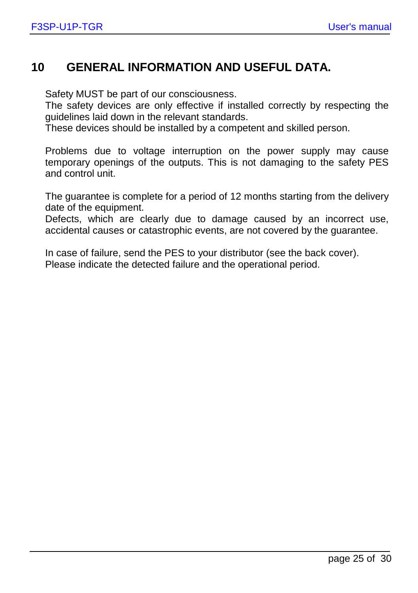### **10 GENERAL INFORMATION AND USEFUL DATA.**

Safety MUST be part of our consciousness.

The safety devices are only effective if installed correctly by respecting the guidelines laid down in the relevant standards.

These devices should be installed by a competent and skilled person.

Problems due to voltage interruption on the power supply may cause temporary openings of the outputs. This is not damaging to the safety PES and control unit.

The guarantee is complete for a period of 12 months starting from the delivery date of the equipment.

Defects, which are clearly due to damage caused by an incorrect use, accidental causes or catastrophic events, are not covered by the guarantee.

In case of failure, send the PES to your distributor (see the back cover). Please indicate the detected failure and the operational period.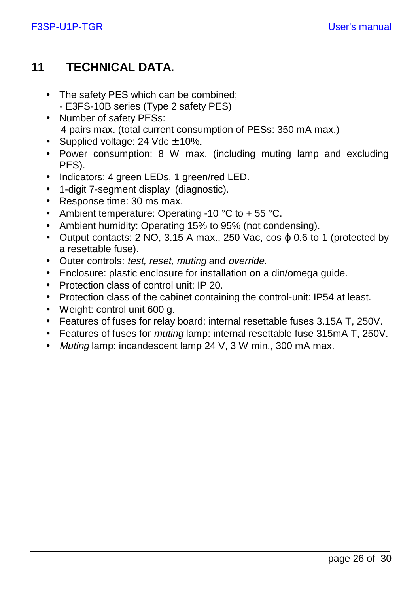### **11 TECHNICAL DATA.**

- The safety PES which can be combined: - E3FS-10B series (Type 2 safety PES)
- Number of safety PESs: 4 pairs max. (total current consumption of PESs: 350 mA max.)
- Supplied voltage:  $24$  Vdc  $\pm$  10%.
- Power consumption: 8 W max. (including muting lamp and excluding PES).
- Indicators: 4 green LEDs, 1 green/red LED.
- 1-digit 7-segment display (diagnostic).
- Response time: 30 ms max.
- Ambient temperature: Operating -10 °C to + 55 °C.
- Ambient humidity: Operating 15% to 95% (not condensing).
- Output contacts:  $2 \text{ NO}$ ,  $3.15 \text{ A}$  max.,  $250 \text{ Vac}$ ,  $\cos \varphi 0.6$  to 1 (protected by a resettable fuse).
- Outer controls: test, reset, muting and override.
- Enclosure: plastic enclosure for installation on a din/omega guide.
- Protection class of control unit: IP 20.
- Protection class of the cabinet containing the control-unit: IP54 at least.
- Weight: control unit 600 g.
- Features of fuses for relay board: internal resettable fuses 3.15A T, 250V.
- Features of fuses for *muting* lamp: internal resettable fuse 315mA T, 250V.
- Muting lamp: incandescent lamp 24 V, 3 W min., 300 mA max.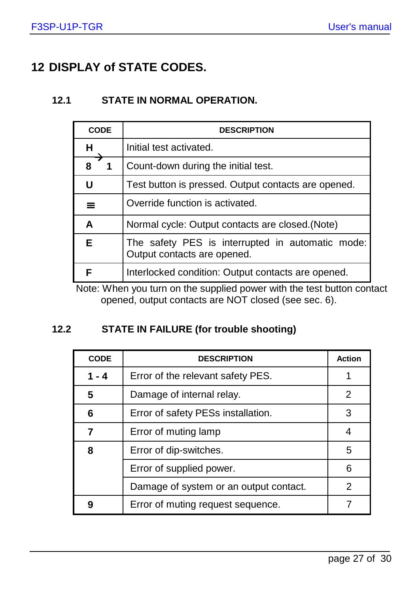### **12 DISPLAY of STATE CODES.**

#### **12.1 STATE IN NORMAL OPERATION.**

| <b>CODE</b>       | <b>DESCRIPTION</b>                                                              |
|-------------------|---------------------------------------------------------------------------------|
| н                 | Initial test activated.                                                         |
| $8 \rightarrow 1$ | Count-down during the initial test.                                             |
| U                 | Test button is pressed. Output contacts are opened.                             |
| $\equiv$          | Override function is activated.                                                 |
| A                 | Normal cycle: Output contacts are closed. (Note)                                |
| Е                 | The safety PES is interrupted in automatic mode:<br>Output contacts are opened. |
|                   | Interlocked condition: Output contacts are opened.                              |

Note: When you turn on the supplied power with the test button contact opened, output contacts are NOT closed (see sec. 6).

#### **12.2 STATE IN FAILURE (for trouble shooting)**

| <b>CODE</b> | <b>DESCRIPTION</b>                     | <b>Action</b> |
|-------------|----------------------------------------|---------------|
| 1 - 4       | Error of the relevant safety PES.      |               |
| 5           | Damage of internal relay.              | 2             |
| 6           | Error of safety PESs installation.     | 3             |
| 7           | Error of muting lamp                   | 4             |
| 8           | Error of dip-switches.                 | 5             |
|             | Error of supplied power.               | 6             |
|             | Damage of system or an output contact. | 2             |
| g           | Error of muting request sequence.      |               |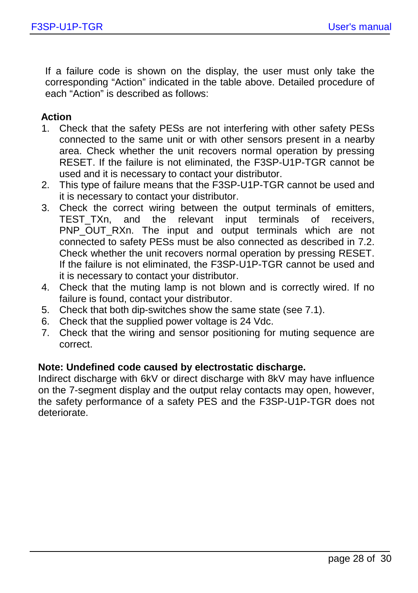If a failure code is shown on the display, the user must only take the corresponding "Action" indicated in the table above. Detailed procedure of each "Action" is described as follows:

#### **Action**

- 1. Check that the safety PESs are not interfering with other safety PESs connected to the same unit or with other sensors present in a nearby area. Check whether the unit recovers normal operation by pressing RESET. If the failure is not eliminated, the F3SP-U1P-TGR cannot be used and it is necessary to contact your distributor.
- 2. This type of failure means that the F3SP-U1P-TGR cannot be used and it is necessary to contact your distributor.
- 3. Check the correct wiring between the output terminals of emitters, TEST TXn, and the relevant input terminals of receivers, PNP\_OUT\_RXn. The input and output terminals which are not connected to safety PESs must be also connected as described in 7.2. Check whether the unit recovers normal operation by pressing RESET. If the failure is not eliminated, the F3SP-U1P-TGR cannot be used and it is necessary to contact your distributor.
- 4. Check that the muting lamp is not blown and is correctly wired. If no failure is found, contact your distributor.
- 5. Check that both dip-switches show the same state (see 7.1).
- 6. Check that the supplied power voltage is 24 Vdc.
- 7. Check that the wiring and sensor positioning for muting sequence are correct.

#### **Note: Undefined code caused by electrostatic discharge.**

Indirect discharge with 6kV or direct discharge with 8kV may have influence on the 7-segment display and the output relay contacts may open, however, the safety performance of a safety PES and the F3SP-U1P-TGR does not deteriorate.